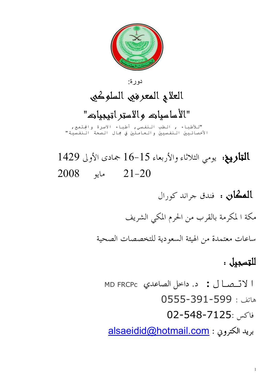1



دورة :

العلاج المعرفي السلوكي

"الأساسيات والاستراتيجيات"

"للأطباء , الطب النفسي, أطباء الاسرة والجتمع, الأخصائـيين الـنفـسيـين والـعامـلين في جمال الـصحة الـنفـسيـة"

 التاريخ: يومي الثلاثاء والأربعاء 16-15 جمادى الأولى 1429 21-20 مايو 2008

المكان : فندق جراند كورال

مكة ا لمكرمة بالقرب من الحرم المكي الشريف

ساعات معتمدة من الهيئة السعودية للتخصصات الصحية

## للتسجيل :

ا(ل: د. داخل الصاعدي FRCPc MD

هاتف : 0555-391-599 فاكس 02-548-7125: alsaeidid@hotmail.com : الكتروني بريد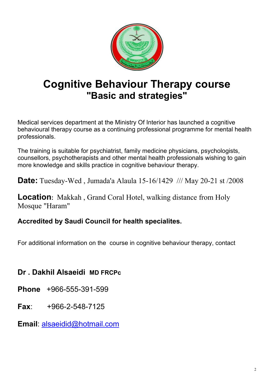

# Cognitive Behaviour Therapy course "Basic and strategies"

Medical services department at the Ministry Of Interior has launched a cognitive behavioural therapy course as a continuing professional programme for mental health professionals.

**Location**: Makkah, Grand Coral Hotel, walking distance from Holy Mosque "Haram"

The training is suitable for psychiatrist, family medicine physicians, psychologists, counsellors, psychotherapists and other mental health professionals wishing to gain more knowledge and skills practice in cognitive behaviour therapy.

Date: Tuesday-Wed , Jumada'a Alaula 15-16/1429 /// May 20-21 st /2008

### Accredited by Saudi Council for health specialites.

For additional information on the course in cognitive behaviour therapy, contact

## Dr . Dakhil Alsaeidi MD FRCPc

Phone +966-555-391-599

#### Fax: +966-2-548-7125

### Email: alsaeidid@hotmail.com